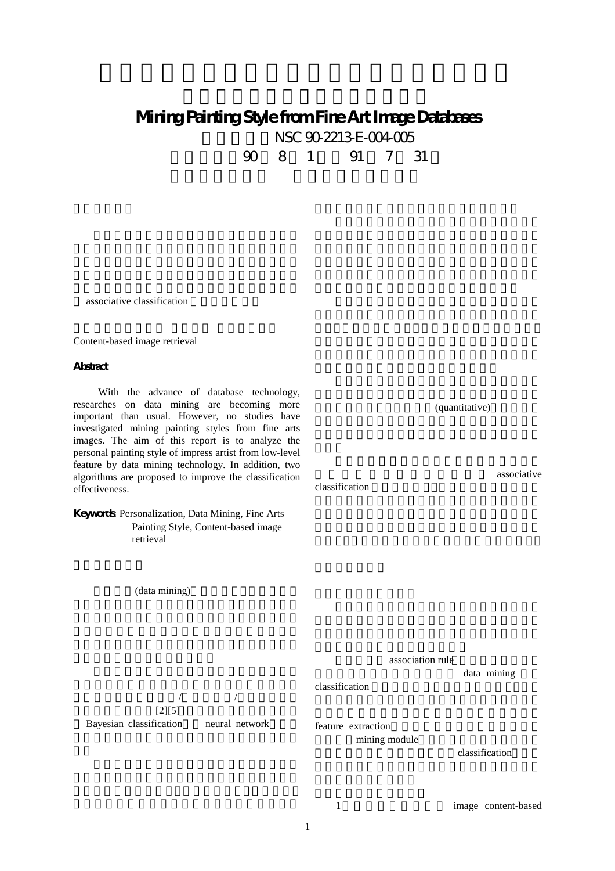## Mining Painting Style from Fine Art Image Databases NSC 90-2213-E-004-005 執行期限:90 8 1 日至 91 7 31

associative classification

Content-based image retrieval

Abstract

With the advance of database technology, researches on data mining are becoming more important than usual. However, no studies have investigated mining painting styles from fine arts images. The aim of this report is to analyze the personal painting style of impress artist from low-level feature by data mining technology. In addition, two algorithms are proposed to improve the classification effectiveness.

Keywords: Personalization, Data Mining, Fine Arts Painting Style, Content-based image retrieval

(data mining)

(quantitative)

classification

associative

association rule

data mining

## classification

 $\frac{1}{2}$  and  $\frac{1}{2}$  and  $\frac{1}{2}$  and  $\frac{1}{2}$  and  $\frac{1}{2}$  and  $\frac{1}{2}$  and  $\frac{1}{2}$  and  $\frac{1}{2}$  and  $\frac{1}{2}$  and  $\frac{1}{2}$  and  $\frac{1}{2}$  and  $\frac{1}{2}$  and  $\frac{1}{2}$  and  $\frac{1}{2}$  and  $\frac{1}{2}$  and  $\frac{1}{2}$  a  $[2][5]$ Bayesian classification, neural network

feature extraction mining module

classification

1 **image content-based**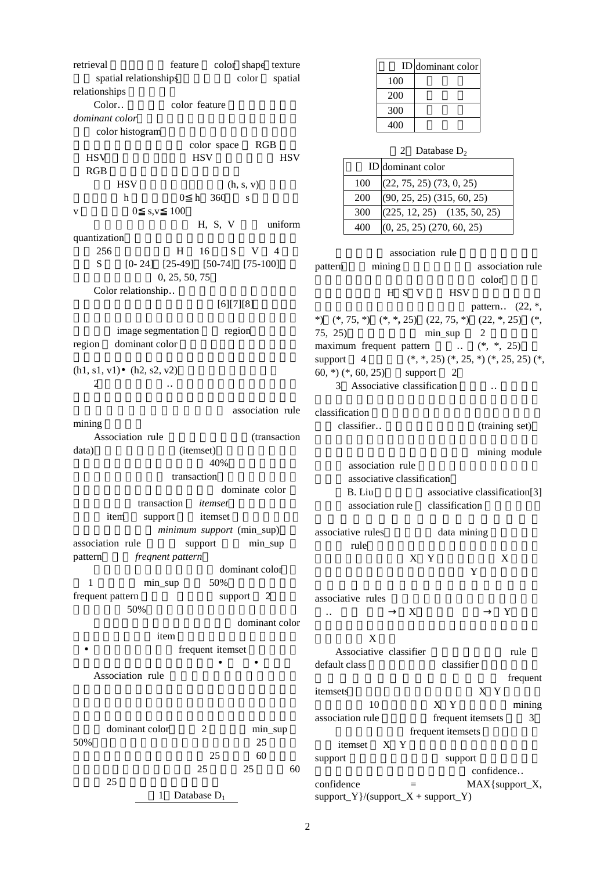retrieval feature color shape texture spatial relationships by color spatial relationships

Color color feature dominant color

color histogram

color space RGB HSV, HSV HSV HSV **RGB**  $\text{HSV}$  (h, s, v) h 0 h 360 s  $v = 0$  s,v 100 H, S, V uniform quantization 256 H 16 S V 4  $S$  [0- 24] [25-49] [50-74] [75-100]  $0, 25, 50, 75$ Color relationship

 $[6][7][8]$ 

image segmentation region region dominant color

 $(h1, s1, v1)$   $(h2, s2, v2)$  $2$ 

association rule mining Association rule (transaction) data) (itemset)  $40\%$ transaction dominate color  $transaction$  *itemset* item support itemset minimum support (min\_sup) association rule support min\_sup pattern *freqnent pattern* dominant color  $1 \qquad \qquad \text{min\_sup} \qquad \qquad 50\%$ frequent pattern <br>  $\frac{1}{2}$  $50\%$ dominant color

item item kontrollering and item and the set of  $\mathbf{R}$ frequent itemset

Association rule

dominant color 2 min\_sup  $50\%$  25  $25$  60  $25$   $25$   $25$   $60$ 且亮度 25 的顏色一起搭配使用。 1 Database  $D_1$ 

|     | ID dominant color |
|-----|-------------------|
| 100 |                   |
| 200 |                   |
| 300 |                   |
| 400 |                   |

|  | Database $D_2$ |
|--|----------------|
|--|----------------|

|     | ID dominant color               |  |  |
|-----|---------------------------------|--|--|
| 100 | $(22, 75, 25)$ $(73, 0, 25)$    |  |  |
| 200 | $(90, 25, 25)$ $(315, 60, 25)$  |  |  |
| 300 | $(225, 12, 25)$ $(135, 50, 25)$ |  |  |
| 400 | $(0, 25, 25)$ $(270, 60, 25)$   |  |  |

association rule pattern mining association rule  $color =$ H S V HSV pattern  $(22, *,$ \*) (\*, 75, \*) (\*, \***,** 25) (22, 75, \*) (22, \*, 25) (\*, 75, 25) min\_sup 2 maximum frequent pattern  $(*, *, 25)$ support 4  $(*, *, 25) (*, 25, *) (*, 25, 25) (*,$ 60,  $*(60, 25)$ , support 2 3 Associative classification

classification

classifier
(training set)

mining module association rule associative classification B. Liu associative classification[3] association rule classification

associative rules data mining rule, where  $\mathbf{r}$  rule,  $\mathbf{r}$  $X$   $Y$   $X$ 白與紅兩種顏色常常一起出現,而 Y 類畫中藍與黃

associative rules  $X$  and  $Y$ 

 $X$ Associative classifier and rule default class classifier frequent itemsets。例如,現在影像資料庫中有 X Y 兩類畫,  $10$  X Y mining association rule frequent itemsets 3 frequent itemsets itemset X Y support support support confidence confidence  $=$  MAX{support\_X,

 $support_Y/(support_X + support_Y)$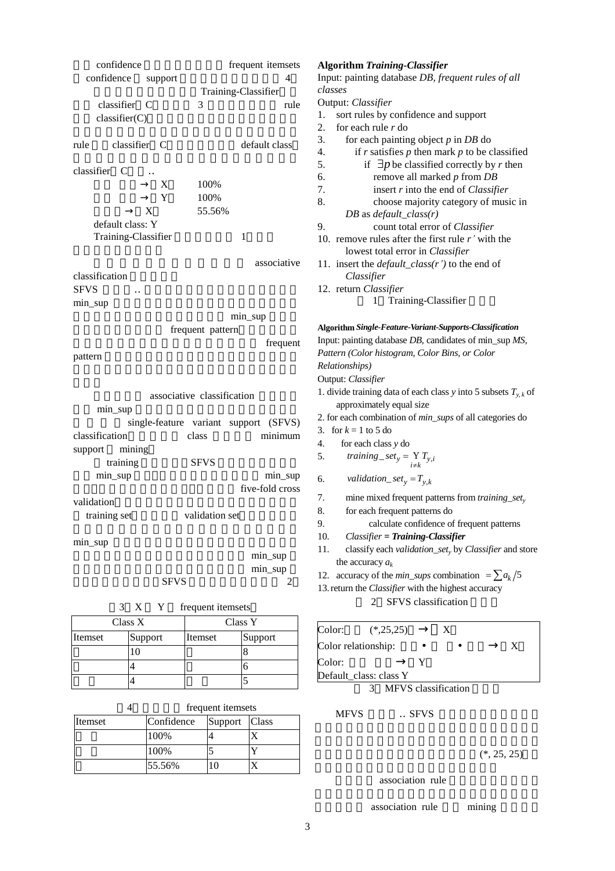confidence frequent itemsets confidence support 4 Training-Classifier classifier C 3 mule  $classifier(C)$ rule classifier C default class classifier C  $X = 100\%$  $Y = 100\%$ X 55.56% default class: Y Training-Classifier 1 associative classification SFVS min\_sup min\_sup frequent pattern frequent pattern associative classification min\_sup single-feature variant support (SFVS) classification class minimum support mining training SFVS min\_sup min\_sup five-fold cross validation training set, walidation set min\_sup min\_sup min\_sup 對,及對應分類器。SFVS 分類器的演算法如 2 3 X Y frequent itemsets Class X Class Y ٦  $\overline{1}$ 

| CHUDO ZX |         | U100 1  |         |
|----------|---------|---------|---------|
| Itemset  | Support | Itemset | Support |
|          |         |         |         |
|          |         |         |         |
|          |         |         |         |

4 frequent itemsets

| Itemset | Confidence | Support Class |  |
|---------|------------|---------------|--|
|         | 100%       |               |  |
|         | 100%       |               |  |
|         | 55.56%     | 10            |  |

|                        | <b>Algorithm Training-Classifier</b>                                                                                                                                                                                                                          |
|------------------------|---------------------------------------------------------------------------------------------------------------------------------------------------------------------------------------------------------------------------------------------------------------|
|                        | Input: painting database DB, frequent rules of all                                                                                                                                                                                                            |
| classes                |                                                                                                                                                                                                                                                               |
|                        | Output: Classifier                                                                                                                                                                                                                                            |
| 1.                     | sort rules by confidence and support                                                                                                                                                                                                                          |
| 2.                     | for each rule $r$ do                                                                                                                                                                                                                                          |
| 3.                     | for each painting object $p$ in $DB$ do                                                                                                                                                                                                                       |
| 4.                     | if $r$ satisfies $p$ then mark $p$ to be classified                                                                                                                                                                                                           |
| 5.                     | if $\exists p$ be classified correctly by r then                                                                                                                                                                                                              |
| 6.                     | remove all marked p from DB                                                                                                                                                                                                                                   |
| 7.                     | insert r into the end of Classifier                                                                                                                                                                                                                           |
| 8.                     | choose majority category of music in                                                                                                                                                                                                                          |
|                        | DB as $default\_class(r)$                                                                                                                                                                                                                                     |
| 9.                     | count total error of Classifier                                                                                                                                                                                                                               |
| 10.                    | remove rules after the first rule $r'$ with the                                                                                                                                                                                                               |
|                        | lowest total error in Classifier                                                                                                                                                                                                                              |
| 11.                    | insert the <i>default_class(r')</i> to the end of                                                                                                                                                                                                             |
|                        | Classifier                                                                                                                                                                                                                                                    |
|                        | 12. return Classifier<br>1 Training-Classifier                                                                                                                                                                                                                |
|                        |                                                                                                                                                                                                                                                               |
|                        | Algorithm Single-Feature-Variant-Supports-Classification                                                                                                                                                                                                      |
|                        | Input: painting database DB, candidates of min_sup MS,                                                                                                                                                                                                        |
|                        | Pattern (Color histogram, Color Bins, or Color                                                                                                                                                                                                                |
|                        |                                                                                                                                                                                                                                                               |
|                        | Relationships)                                                                                                                                                                                                                                                |
|                        | Output: Classifier                                                                                                                                                                                                                                            |
|                        |                                                                                                                                                                                                                                                               |
|                        |                                                                                                                                                                                                                                                               |
|                        | approximately equal size                                                                                                                                                                                                                                      |
| 3.                     | 2. for each combination of min_sups of all categories do<br>for $k = 1$ to 5 do                                                                                                                                                                               |
|                        |                                                                                                                                                                                                                                                               |
| $\overline{4}$ .<br>5. | for each class y do<br>training _set <sub>y</sub> = $\sum_{i \neq k} T_{y,i}$                                                                                                                                                                                 |
|                        | validation_set <sub>y</sub> = $T_{y,k}$                                                                                                                                                                                                                       |
| 6.<br>7.               | mine mixed frequent patterns from training_set <sub>v</sub>                                                                                                                                                                                                   |
| 8.                     | for each frequent patterns do                                                                                                                                                                                                                                 |
| 9.                     | calculate confidence of frequent patterns                                                                                                                                                                                                                     |
| 10.                    | <b>Classifier = Training-Classifier</b>                                                                                                                                                                                                                       |
| 11.                    |                                                                                                                                                                                                                                                               |
|                        | the accuracy $a_k$                                                                                                                                                                                                                                            |
| 12.                    |                                                                                                                                                                                                                                                               |
|                        | 1. divide training data of each class y into 5 subsets $T_{y,k}$ of<br>classify each validation_set <sub>v</sub> by Classifier and store<br>accuracy of the <i>min_sups</i> combination = $\sum a_k/5$<br>13. return the Classifier with the highest accuracy |

|                     | Color: $(*,25,25)$     |                       |  |
|---------------------|------------------------|-----------------------|--|
| Color relationship: |                        |                       |  |
| Color:              |                        |                       |  |
|                     | Default class: class Y |                       |  |
|                     |                        | 2 MEVS clossification |  |

MFVS classification

MFVS SFVS

 $(*, 25, 25)$ 

association rule

association rule mining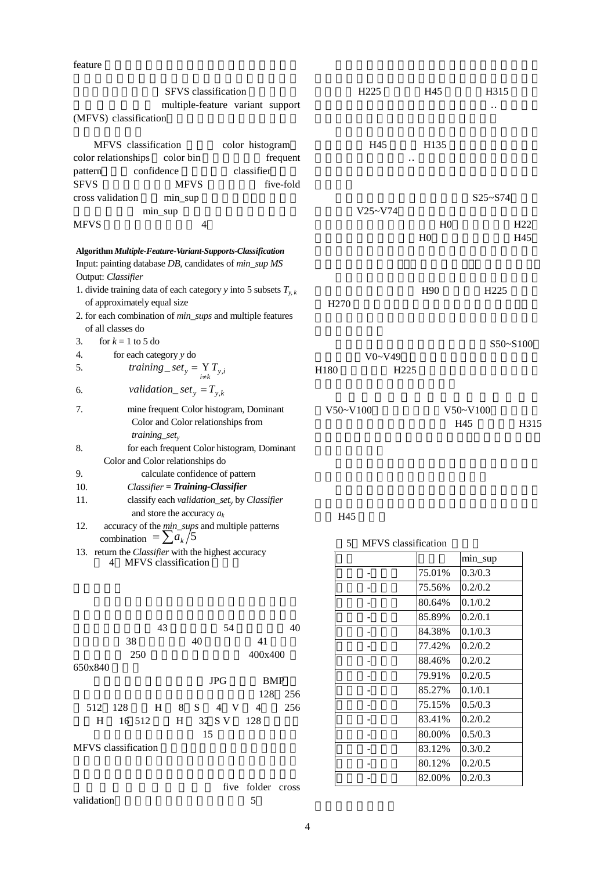feature

| SFVS classification<br>multiple-feature variant support |                                                                                                                     |                                    |           | H <sub>225</sub> | H45                   | H315                             |                               |                        |
|---------------------------------------------------------|---------------------------------------------------------------------------------------------------------------------|------------------------------------|-----------|------------------|-----------------------|----------------------------------|-------------------------------|------------------------|
|                                                         | (MFVS) classification                                                                                               |                                    |           |                  |                       |                                  |                               |                        |
| pattern                                                 | MFVS classification<br>color relationships<br>color bin<br>confidence                                               | color histogram<br>classifier      | frequent  |                  | H45                   | H <sub>135</sub>                 |                               |                        |
| <b>SFVS</b>                                             | <b>MFVS</b><br>cross validation<br>$min$ _sup                                                                       |                                    | five-fold |                  |                       |                                  | $S25 - S74$                   |                        |
|                                                         | min_sup                                                                                                             |                                    |           |                  | $V25-V74$             |                                  |                               |                        |
| <b>MFVS</b>                                             |                                                                                                                     | $\overline{4}$                     |           |                  |                       | H <sub>0</sub><br>H <sub>0</sub> |                               | H22<br>H <sub>45</sub> |
|                                                         | Algorithm Multiple-Feature-Variant-Supports-Classification<br>Input: painting database DB, candidates of min_sup MS |                                    |           |                  |                       |                                  |                               |                        |
|                                                         | Output: Classifier                                                                                                  |                                    |           |                  |                       |                                  |                               |                        |
|                                                         | 1. divide training data of each category y into 5 subsets $T_{v,k}$<br>of approximately equal size                  |                                    |           | H <sub>270</sub> |                       | H <sub>90</sub>                  | H <sub>225</sub>              |                        |
|                                                         | 2. for each combination of <i>min_sups</i> and multiple features                                                    |                                    |           |                  |                       |                                  |                               |                        |
|                                                         | of all classes do                                                                                                   |                                    |           |                  |                       |                                  |                               |                        |
| 3.                                                      | for $k = 1$ to 5 do                                                                                                 |                                    |           |                  |                       |                                  | $S50 - S100$                  |                        |
| 4.                                                      | for each category y do                                                                                              |                                    |           |                  | $V0-V49$              |                                  |                               |                        |
| 5.                                                      | <i>training</i> $_s$ <i>et<sub>y</sub></i> = $\sum_{i \neq k} T_{y,i}$                                              |                                    |           | H <sub>180</sub> | H <sub>225</sub>      |                                  |                               |                        |
| 6.                                                      | <i>validation_set</i> <sub>y</sub> = $T_{y,k}$                                                                      |                                    |           |                  |                       |                                  |                               |                        |
| 7.                                                      | mine frequent Color histogram, Dominant<br>training_set $_{v}$                                                      | Color and Color relationships from |           | $V50-V100$       |                       |                                  | $V50-V100$<br>H <sub>45</sub> | H315                   |
| 8.                                                      | for each frequent Color histogram, Dominant                                                                         |                                    |           |                  |                       |                                  |                               |                        |
|                                                         | Color and Color relationships do                                                                                    |                                    |           |                  |                       |                                  |                               |                        |
| 9.                                                      |                                                                                                                     | calculate confidence of pattern    |           |                  |                       |                                  |                               |                        |
| 10.                                                     | Classifier = Training-Classifier                                                                                    |                                    |           |                  |                       |                                  |                               |                        |
| 11.                                                     | classify each validation_set, by Classifier                                                                         |                                    |           |                  |                       |                                  |                               |                        |
|                                                         | and store the accuracy $a_k$                                                                                        |                                    |           | H45              |                       |                                  |                               |                        |
| 12.                                                     | accuracy of the min_sups and multiple patterns<br>combination = $\sum a_k/5$                                        |                                    |           |                  | 5 MFVS classification |                                  |                               |                        |
|                                                         | 13. return the <i>Classifier</i> with the highest accuracy                                                          |                                    |           |                  |                       |                                  | min_sup                       |                        |
|                                                         | MFVS classification<br>4                                                                                            |                                    |           |                  | -                     | 75.01%                           | 0.3/0.3                       |                        |
|                                                         |                                                                                                                     |                                    |           |                  |                       |                                  | 0.2/0.2                       |                        |
|                                                         |                                                                                                                     |                                    |           |                  |                       | 75.56%                           |                               |                        |
|                                                         |                                                                                                                     |                                    |           |                  | ÷                     | 80.64%                           | 0.1/0.2                       |                        |
|                                                         | 43                                                                                                                  | 54                                 | 40        |                  |                       | 85.89%<br>84 38%                 | 0.2/0.1                       |                        |
|                                                         |                                                                                                                     |                                    |           |                  |                       |                                  | 0.1/0.3                       |                        |

|         | 38     |   | 40          |            | 41             |     |
|---------|--------|---|-------------|------------|----------------|-----|
|         | 250    |   |             |            | 400x400        |     |
| 650x840 |        |   |             |            |                |     |
|         |        |   |             | <b>JPG</b> | <b>BMP</b>     |     |
|         |        |   |             |            | 128            | 256 |
| 512 128 |        | H | 8 S 4 V     |            | $\overline{4}$ | 256 |
| H       | 16 512 |   | $H = 32$ SV |            | 128            |     |
|         |        |   | 15          |            |                |     |

MFVS classification

five folder cross  $\frac{5}{ }$ validation

|        | min_sup |
|--------|---------|
| 75.01% | 0.3/0.3 |
| 75.56% | 0.2/0.2 |
| 80.64% | 0.1/0.2 |
| 85.89% | 0.2/0.1 |
| 84.38% | 0.1/0.3 |
| 77.42% | 0.2/0.2 |
| 88.46% | 0.2/0.2 |
| 79.91% | 0.2/0.5 |
| 85.27% | 0.1/0.1 |
| 75.15% | 0.5/0.3 |
| 83.41% | 0.2/0.2 |
| 80.00% | 0.5/0.3 |
| 83.12% | 0.3/0.2 |
| 80.12% | 0.2/0.5 |
| 82.00% | 0.2/0.3 |
|        |         |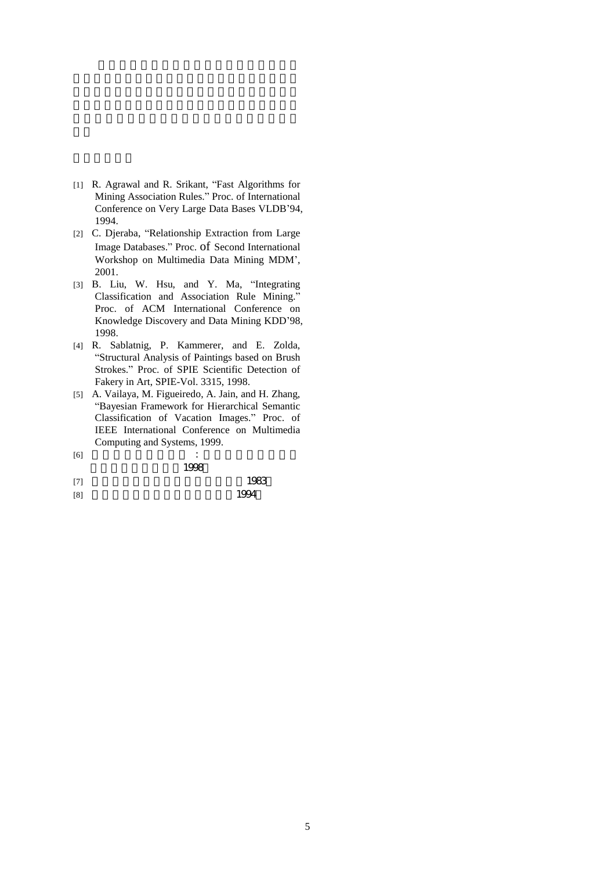- [1] R. Agrawal and R. Srikant, "Fast Algorithms for Mining Association Rules." Proc. of International Conference on Very Large Data Bases VLDB'94, 1994.
- [2] C. Djeraba, "Relationship Extraction from Large Image Databases." Proc. of Second International Workshop on Multimedia Data Mining MDM', 2001.
- [3] B. Liu, W. Hsu, and Y. Ma, "Integrating Classification and Association Rule Mining." Proc. of ACM International Conference on Knowledge Discovery and Data Mining KDD'98, 1998.
- [4] R. Sablatnig, P. Kammerer, and E. Zolda, "Structural Analysis of Paintings based on Brush Strokes." Proc. of SPIE Scientific Detection of Fakery in Art, SPIE-Vol. 3315, 1998.
- [5] A. Vailaya, M. Figueiredo, A. Jain, and H. Zhang, "Bayesian Framework for Hierarchical Semantic Classification of Vacation Images." Proc. of IEEE International Conference on Multimedia Computing and Systems, 1999.
- $[6]$  :
- 1998
- $[7]$  1983  $[8]$  1994
-